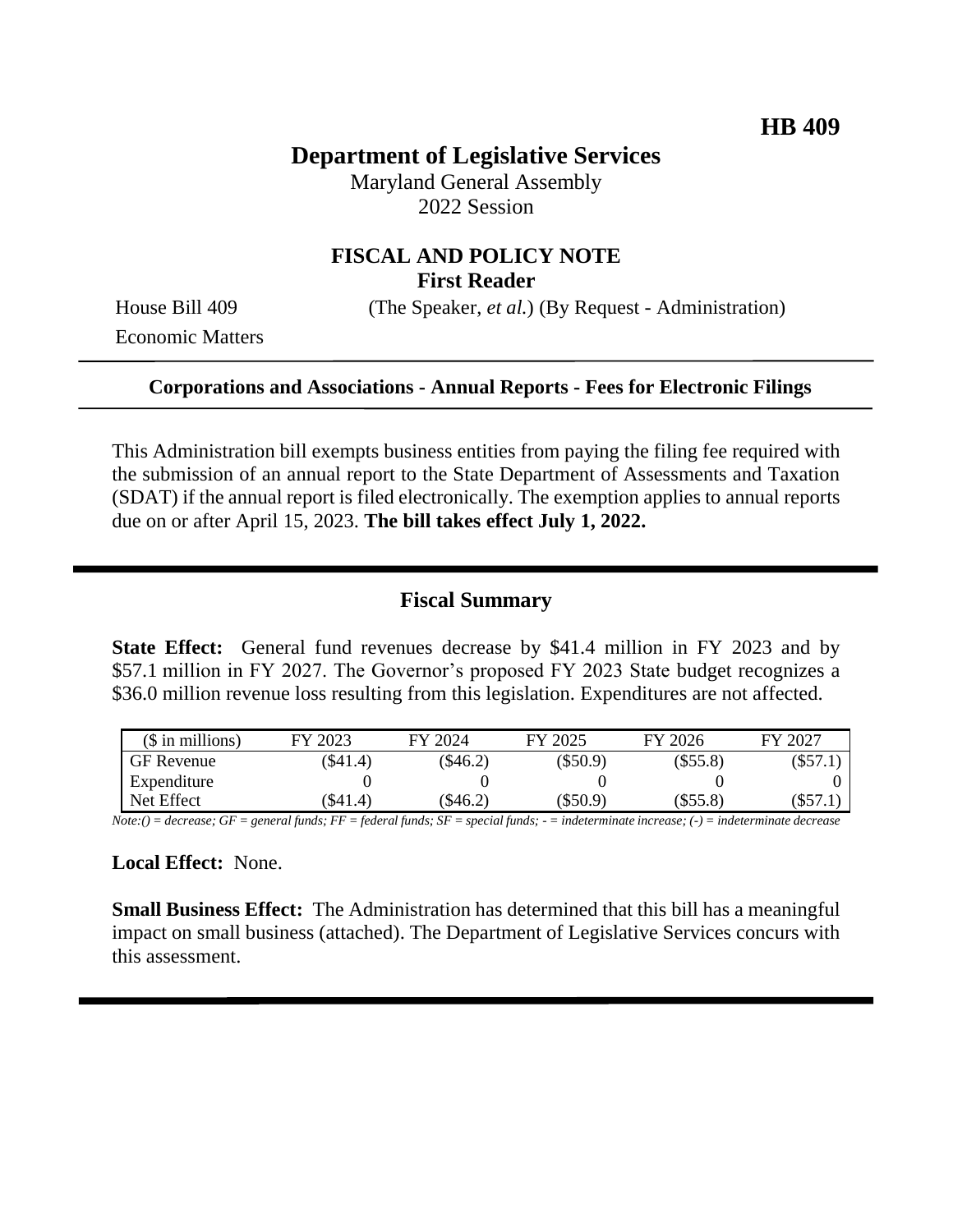# **Department of Legislative Services**

Maryland General Assembly 2022 Session

# **FISCAL AND POLICY NOTE First Reader**

Economic Matters

House Bill 409 (The Speaker, *et al.*) (By Request - Administration)

### **Corporations and Associations - Annual Reports - Fees for Electronic Filings**

This Administration bill exempts business entities from paying the filing fee required with the submission of an annual report to the State Department of Assessments and Taxation (SDAT) if the annual report is filed electronically. The exemption applies to annual reports due on or after April 15, 2023. **The bill takes effect July 1, 2022.**

### **Fiscal Summary**

**State Effect:** General fund revenues decrease by \$41.4 million in FY 2023 and by \$57.1 million in FY 2027. The Governor's proposed FY 2023 State budget recognizes a \$36.0 million revenue loss resulting from this legislation. Expenditures are not affected.

| $($$ in millions) | FY 2023 | FY 2024   | FY 2025    | FY 2026    | FY 2027 |
|-------------------|---------|-----------|------------|------------|---------|
| <b>GF</b> Revenue | \$41.4) | \$46.2)   | $(\$50.9)$ | $(\$55.8)$ | (\$57.1 |
| Expenditure       |         |           |            |            |         |
| Net Effect        | 341.4)  | $\$46.2)$ | (\$50.9)   | $(\$55.8)$ | (\$57.1 |

*Note:() = decrease; GF = general funds; FF = federal funds; SF = special funds; - = indeterminate increase; (-) = indeterminate decrease*

#### **Local Effect:** None.

**Small Business Effect:** The Administration has determined that this bill has a meaningful impact on small business (attached). The Department of Legislative Services concurs with this assessment.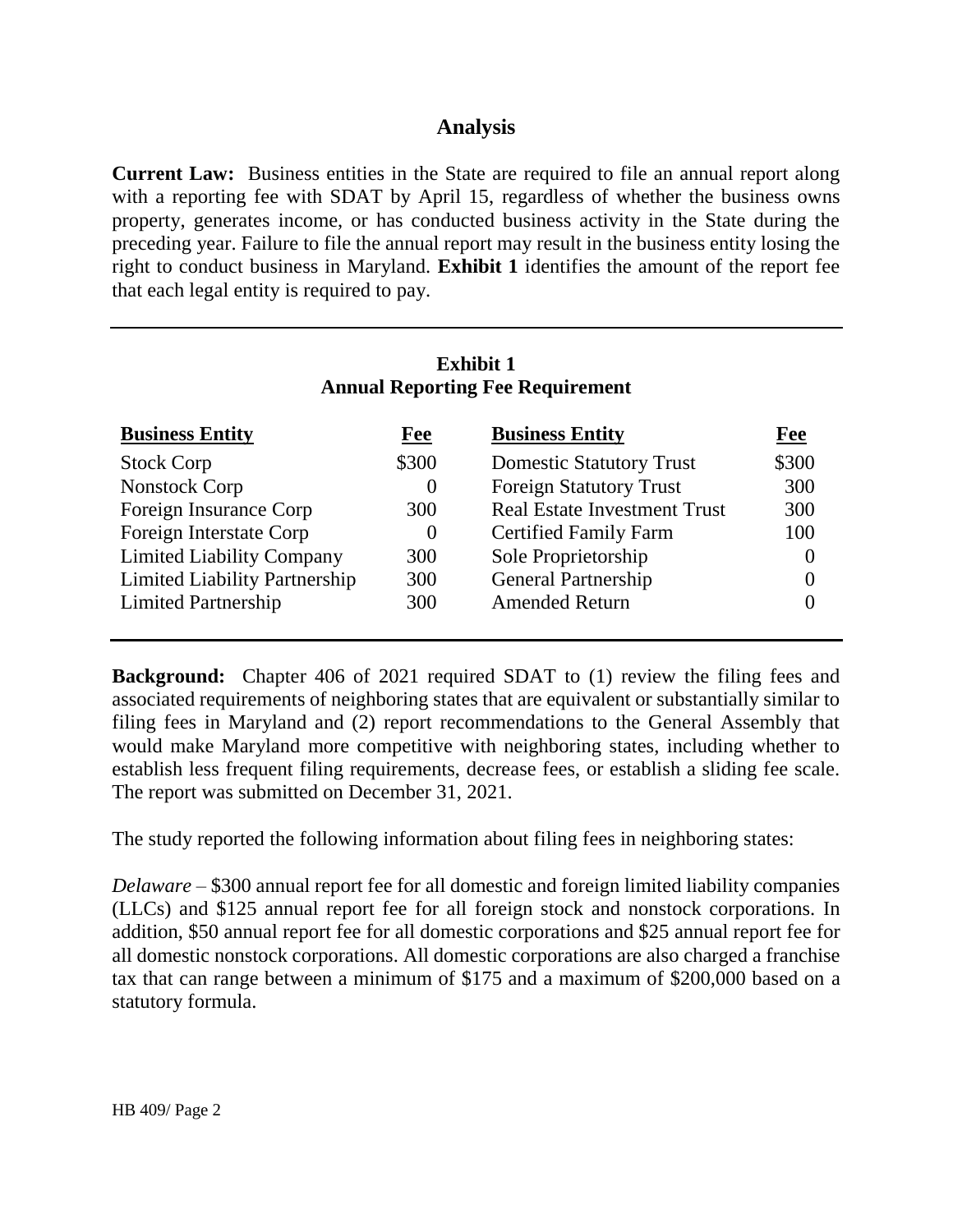## **Analysis**

**Current Law:** Business entities in the State are required to file an annual report along with a reporting fee with SDAT by April 15, regardless of whether the business owns property, generates income, or has conducted business activity in the State during the preceding year. Failure to file the annual report may result in the business entity losing the right to conduct business in Maryland. **Exhibit 1** identifies the amount of the report fee that each legal entity is required to pay.

## **Exhibit 1 Annual Reporting Fee Requirement**

| <b>Business Entity</b>               | Fee      | <b>Business Entity</b>              | Fee   |
|--------------------------------------|----------|-------------------------------------|-------|
| <b>Stock Corp</b>                    | \$300    | <b>Domestic Statutory Trust</b>     | \$300 |
| Nonstock Corp                        | $\theta$ | <b>Foreign Statutory Trust</b>      | 300   |
| Foreign Insurance Corp               | 300      | <b>Real Estate Investment Trust</b> | 300   |
| Foreign Interstate Corp              | $\theta$ | <b>Certified Family Farm</b>        | 100   |
| <b>Limited Liability Company</b>     | 300      | Sole Proprietorship                 |       |
| <b>Limited Liability Partnership</b> | 300      | <b>General Partnership</b>          |       |
| <b>Limited Partnership</b>           | 300      | <b>Amended Return</b>               |       |

**Background:** Chapter 406 of 2021 required SDAT to (1) review the filing fees and associated requirements of neighboring states that are equivalent or substantially similar to filing fees in Maryland and (2) report recommendations to the General Assembly that would make Maryland more competitive with neighboring states, including whether to establish less frequent filing requirements, decrease fees, or establish a sliding fee scale. The report was submitted on December 31, 2021.

The study reported the following information about filing fees in neighboring states:

*Delaware* – \$300 annual report fee for all domestic and foreign limited liability companies (LLCs) and \$125 annual report fee for all foreign stock and nonstock corporations. In addition, \$50 annual report fee for all domestic corporations and \$25 annual report fee for all domestic nonstock corporations. All domestic corporations are also charged a franchise tax that can range between a minimum of \$175 and a maximum of \$200,000 based on a statutory formula.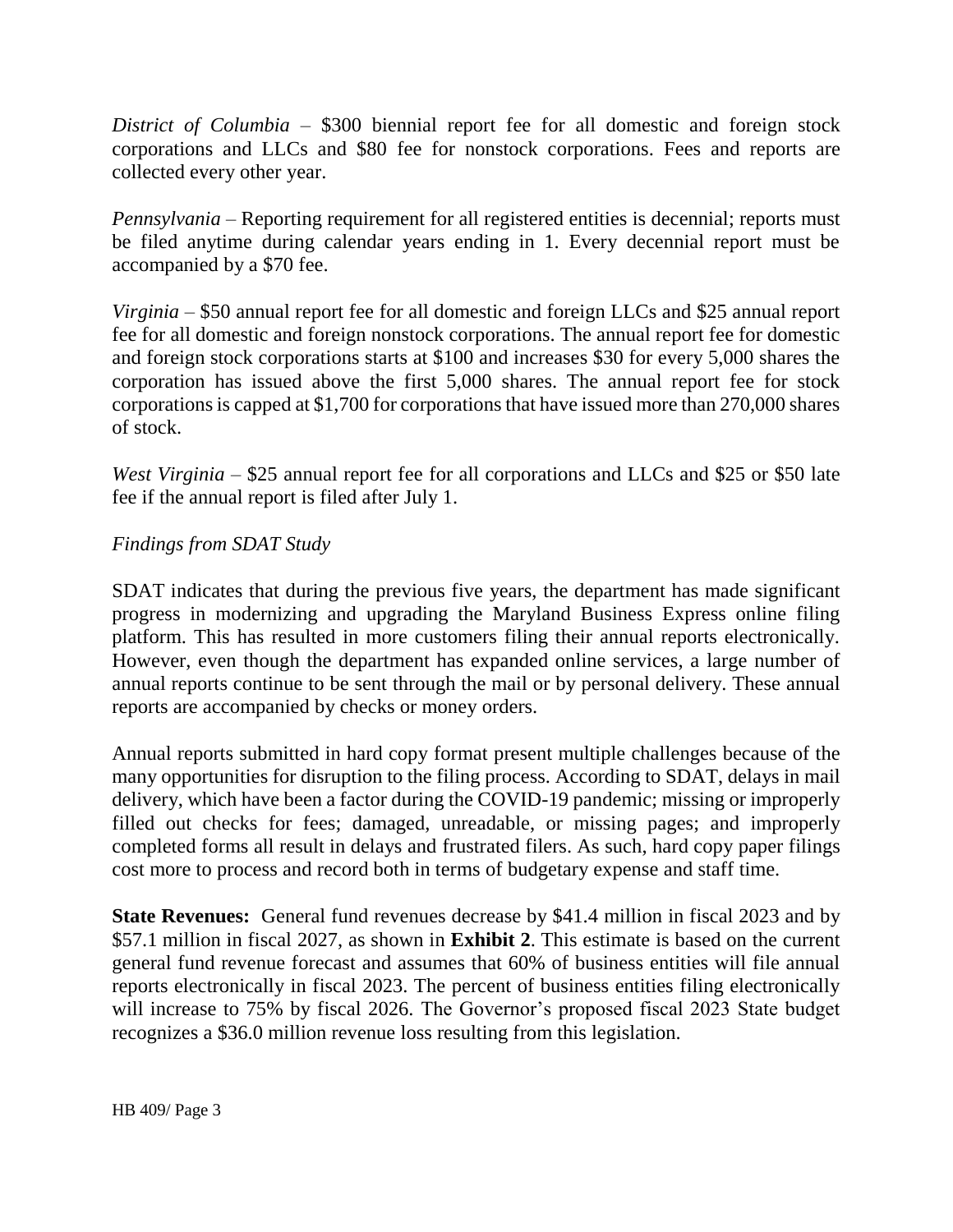*District of Columbia* – \$300 biennial report fee for all domestic and foreign stock corporations and LLCs and \$80 fee for nonstock corporations. Fees and reports are collected every other year.

*Pennsylvania* – Reporting requirement for all registered entities is decennial; reports must be filed anytime during calendar years ending in 1. Every decennial report must be accompanied by a \$70 fee.

*Virginia* – \$50 annual report fee for all domestic and foreign LLCs and \$25 annual report fee for all domestic and foreign nonstock corporations. The annual report fee for domestic and foreign stock corporations starts at \$100 and increases \$30 for every 5,000 shares the corporation has issued above the first 5,000 shares. The annual report fee for stock corporations is capped at \$1,700 for corporations that have issued more than 270,000 shares of stock.

*West Virginia* – \$25 annual report fee for all corporations and LLCs and \$25 or \$50 late fee if the annual report is filed after July 1.

### *Findings from SDAT Study*

SDAT indicates that during the previous five years, the department has made significant progress in modernizing and upgrading the Maryland Business Express online filing platform. This has resulted in more customers filing their annual reports electronically. However, even though the department has expanded online services, a large number of annual reports continue to be sent through the mail or by personal delivery. These annual reports are accompanied by checks or money orders.

Annual reports submitted in hard copy format present multiple challenges because of the many opportunities for disruption to the filing process. According to SDAT, delays in mail delivery, which have been a factor during the COVID-19 pandemic; missing or improperly filled out checks for fees; damaged, unreadable, or missing pages; and improperly completed forms all result in delays and frustrated filers. As such, hard copy paper filings cost more to process and record both in terms of budgetary expense and staff time.

**State Revenues:** General fund revenues decrease by \$41.4 million in fiscal 2023 and by \$57.1 million in fiscal 2027, as shown in **Exhibit 2**. This estimate is based on the current general fund revenue forecast and assumes that 60% of business entities will file annual reports electronically in fiscal 2023. The percent of business entities filing electronically will increase to 75% by fiscal 2026. The Governor's proposed fiscal 2023 State budget recognizes a \$36.0 million revenue loss resulting from this legislation.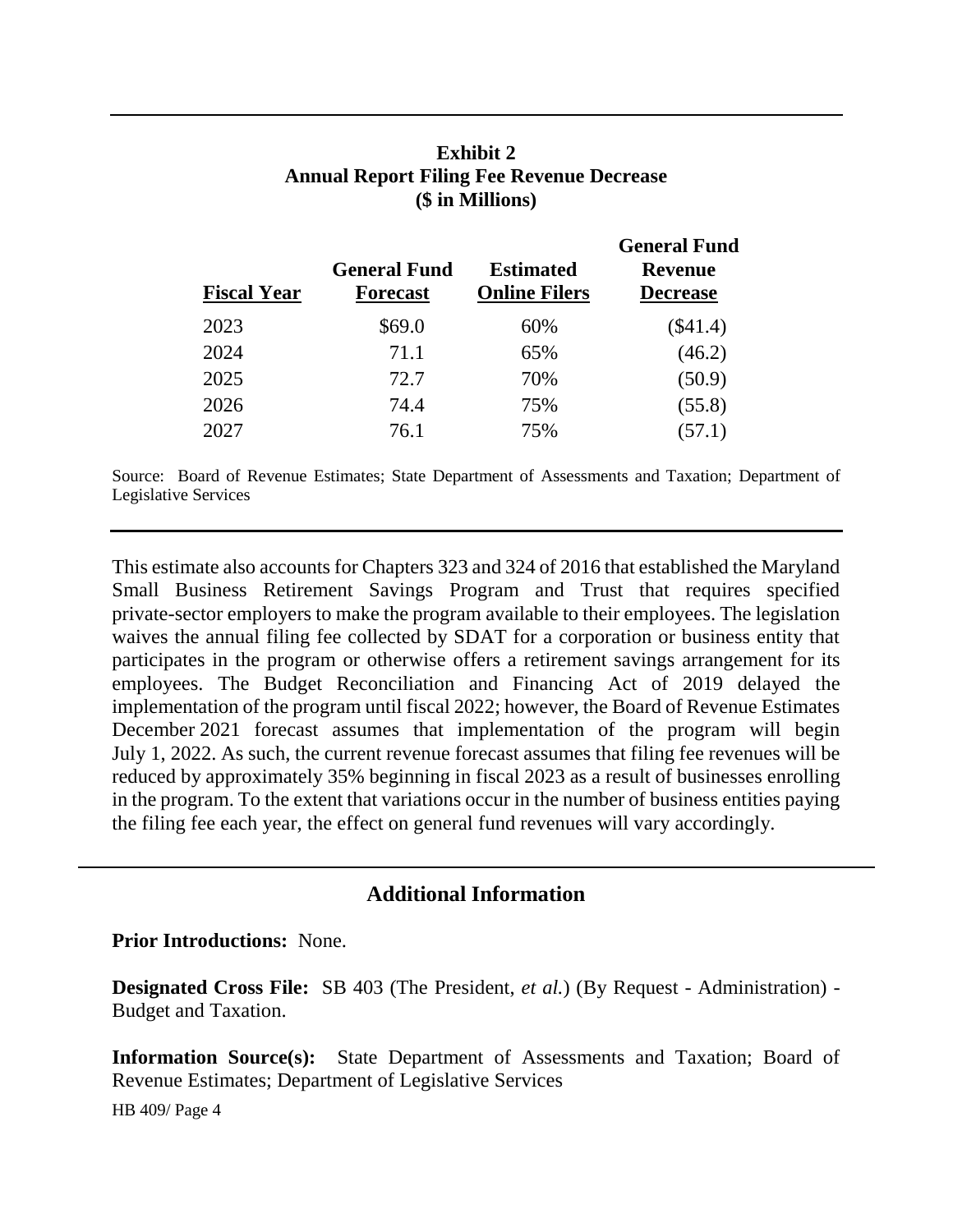## **Exhibit 2 Annual Report Filing Fee Revenue Decrease (\$ in Millions)**

| <b>Fiscal Year</b> | <b>General Fund</b><br><b>Forecast</b> | <b>Estimated</b><br><b>Online Filers</b> | <b>General Fund</b><br><b>Revenue</b><br><b>Decrease</b> |
|--------------------|----------------------------------------|------------------------------------------|----------------------------------------------------------|
| 2023               | \$69.0                                 | 60%                                      | $(\$41.4)$                                               |
| 2024               | 71.1                                   | 65%                                      | (46.2)                                                   |
| 2025               | 72.7                                   | 70%                                      | (50.9)                                                   |
| 2026               | 74.4                                   | 75%                                      | (55.8)                                                   |
| 2027               | 76.1                                   | 75%                                      | (57.1)                                                   |

Source: Board of Revenue Estimates; State Department of Assessments and Taxation; Department of Legislative Services

This estimate also accounts for Chapters 323 and 324 of 2016 that established the Maryland Small Business Retirement Savings Program and Trust that requires specified private-sector employers to make the program available to their employees. The legislation waives the annual filing fee collected by SDAT for a corporation or business entity that participates in the program or otherwise offers a retirement savings arrangement for its employees. The Budget Reconciliation and Financing Act of 2019 delayed the implementation of the program until fiscal 2022; however, the Board of Revenue Estimates December 2021 forecast assumes that implementation of the program will begin July 1, 2022. As such, the current revenue forecast assumes that filing fee revenues will be reduced by approximately 35% beginning in fiscal 2023 as a result of businesses enrolling in the program. To the extent that variations occur in the number of business entities paying the filing fee each year, the effect on general fund revenues will vary accordingly.

### **Additional Information**

#### **Prior Introductions:** None.

**Designated Cross File:** SB 403 (The President, *et al.*) (By Request - Administration) - Budget and Taxation.

**Information Source(s):** State Department of Assessments and Taxation; Board of Revenue Estimates; Department of Legislative Services

HB 409/ Page 4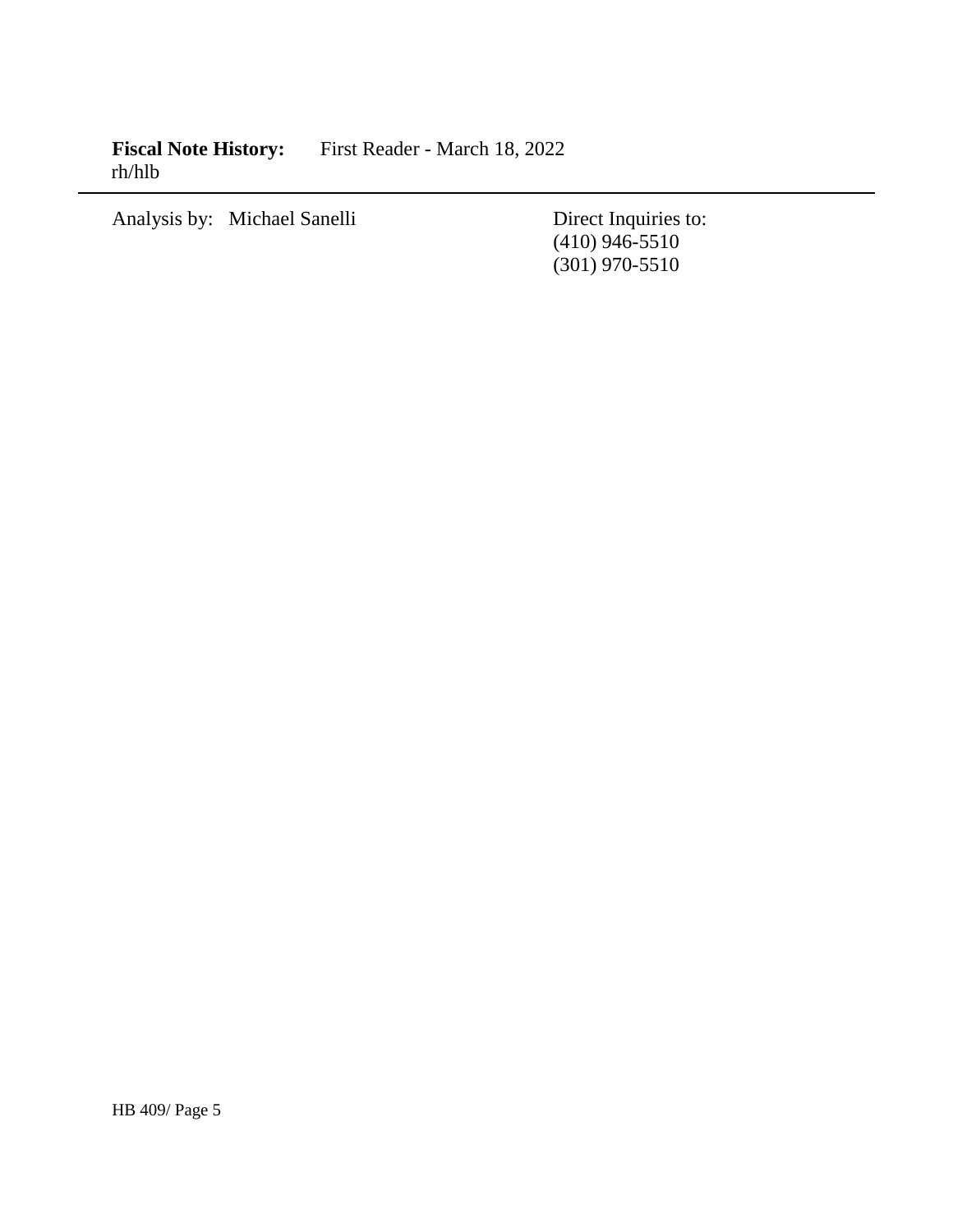**Fiscal Note History:** First Reader - March 18, 2022 rh/hlb

Analysis by: Michael Sanelli Direct Inquiries to:

(410) 946-5510 (301) 970-5510